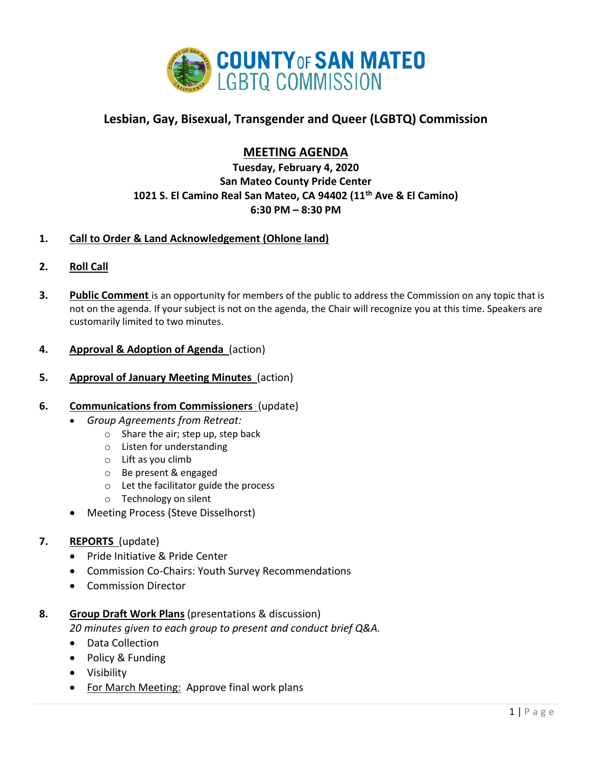

# **Lesbian, Gay, Bisexual, Transgender and Queer (LGBTQ) Commission**

## **MEETING AGENDA**

**Tuesday, February 4, 2020 San Mateo County Pride Center 1021 S. El Camino Real San Mateo, CA 94402 (11th Ave & El Camino) 6:30 PM – 8:30 PM**

## **1. Call to Order & Land Acknowledgement (Ohlone land)**

- **2. Roll Call**
- **3. Public Comment** is an opportunity for members of the public to address the Commission on any topic that is not on the agenda. If your subject is not on the agenda, the Chair will recognize you at this time. Speakers are customarily limited to two minutes.

## **4. Approval & Adoption of Agenda** (action)

**5. Approval of January Meeting Minutes** (action)

#### **6. Communications from Commissioners** (update)

- *Group Agreements from Retreat:*
	- o Share the air; step up, step back
	- o Listen for understanding
	- o Lift as you climb
	- o Be present & engaged
	- o Let the facilitator guide the process
	- o Technology on silent
- Meeting Process (Steve Disselhorst)

## **7. REPORTS** (update)

- Pride Initiative & Pride Center
- Commission Co-Chairs: Youth Survey Recommendations
- Commission Director

## **8. Group Draft Work Plans** (presentations & discussion) *20 minutes given to each group to present and conduct brief Q&A.*

- Data Collection
- Policy & Funding
- Visibility
- For March Meeting: Approve final work plans